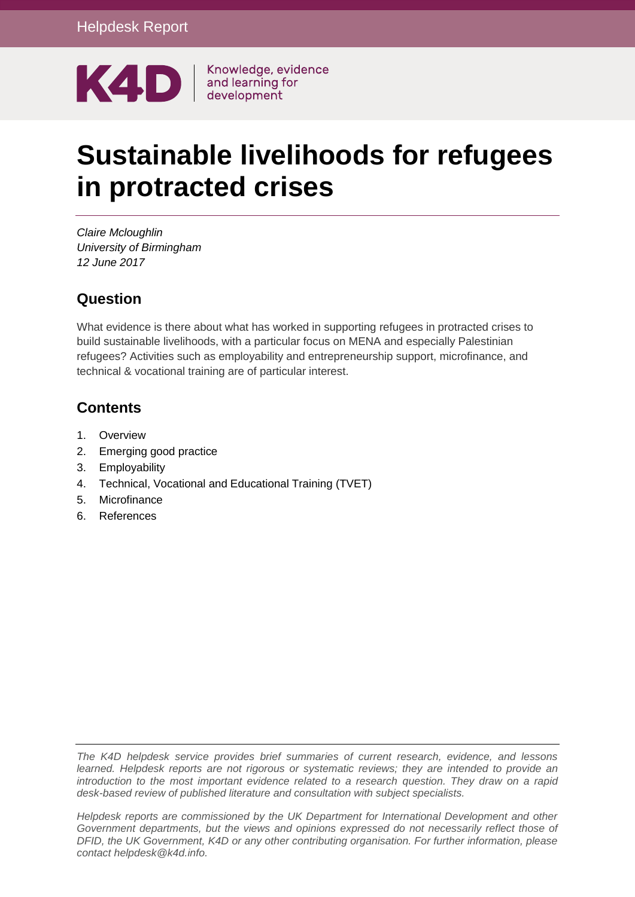

# **Sustainable livelihoods for refugees in protracted crises**

*Claire Mcloughlin University of Birmingham 12 June 2017*

#### **Question**

What evidence is there about what has worked in supporting refugees in protracted crises to build sustainable livelihoods, with a particular focus on MENA and especially Palestinian refugees? Activities such as employability and entrepreneurship support, microfinance, and technical & vocational training are of particular interest.

### **Contents**

- 1. [Overview](#page-1-0)
- 2. [Emerging good practice](#page-2-0)
- 3. [Employability](#page-4-0)
- 4. [Technical, Vocational and Educational Training \(TVET\)](#page-8-0)
- 5. [Microfinance](#page-10-0)
- 6. [References](#page-11-0)

*The K4D helpdesk service provides brief summaries of current research, evidence, and lessons learned. Helpdesk reports are not rigorous or systematic reviews; they are intended to provide an introduction to the most important evidence related to a research question. They draw on a rapid desk-based review of published literature and consultation with subject specialists.* 

*Helpdesk reports are commissioned by the UK Department for International Development and other Government departments, but the views and opinions expressed do not necessarily reflect those of DFID, the UK Government, K4D or any other contributing organisation. For further information, please contact helpdesk@k4d.info.*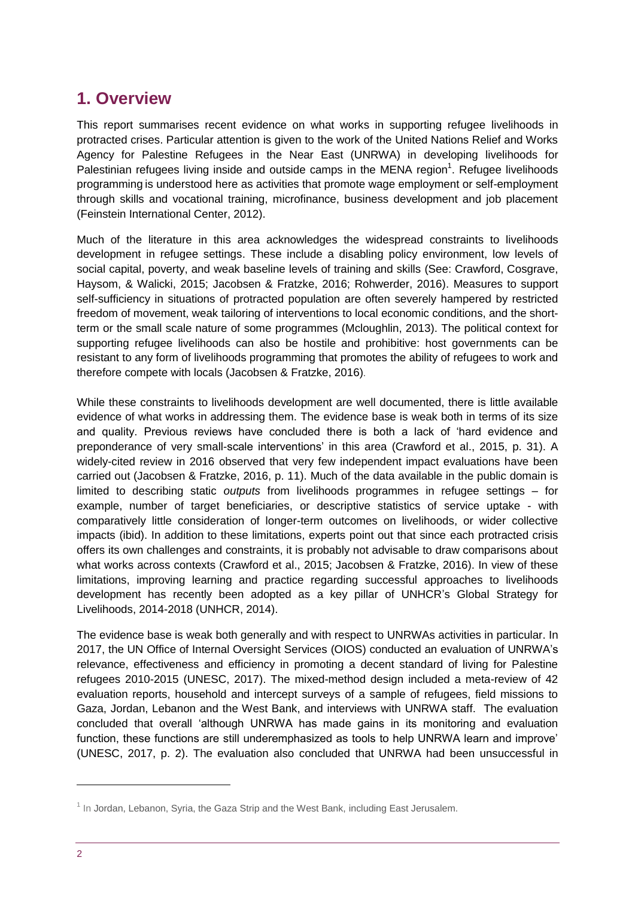## <span id="page-1-0"></span>**1. Overview**

This report summarises recent evidence on what works in supporting refugee livelihoods in protracted crises. Particular attention is given to the work of the United Nations Relief and Works Agency for Palestine Refugees in the Near East (UNRWA) in developing livelihoods for Palestinian refugees living inside and outside camps in the MENA region<sup>1</sup>. Refugee livelihoods programming is understood here as activities that promote wage employment or self-employment through skills and vocational training, microfinance, business development and job placement (Feinstein International Center, 2012).

Much of the literature in this area acknowledges the widespread constraints to livelihoods development in refugee settings. These include a disabling policy environment, low levels of social capital, poverty, and weak baseline levels of training and skills (See: Crawford, Cosgrave, Haysom, & Walicki, 2015; Jacobsen & Fratzke, 2016; Rohwerder, 2016). Measures to support self-sufficiency in situations of protracted population are often severely hampered by restricted freedom of movement, weak tailoring of interventions to local economic conditions, and the shortterm or the small scale nature of some programmes (Mcloughlin, 2013). The political context for supporting refugee livelihoods can also be hostile and prohibitive: host governments can be resistant to any form of livelihoods programming that promotes the ability of refugees to work and therefore compete with locals (Jacobsen & Fratzke, 2016).

While these constraints to livelihoods development are well documented, there is little available evidence of what works in addressing them. The evidence base is weak both in terms of its size and quality. Previous reviews have concluded there is both a lack of 'hard evidence and preponderance of very small-scale interventions' in this area (Crawford et al., 2015, p. 31). A widely-cited review in 2016 observed that very few independent impact evaluations have been carried out (Jacobsen & Fratzke, 2016, p. 11). Much of the data available in the public domain is limited to describing static *outputs* from livelihoods programmes in refugee settings – for example, number of target beneficiaries, or descriptive statistics of service uptake - with comparatively little consideration of longer-term outcomes on livelihoods, or wider collective impacts (ibid). In addition to these limitations, experts point out that since each protracted crisis offers its own challenges and constraints, it is probably not advisable to draw comparisons about what works across contexts (Crawford et al., 2015; Jacobsen & Fratzke, 2016). In view of these limitations, improving learning and practice regarding successful approaches to livelihoods development has recently been adopted as a key pillar of UNHCR's Global Strategy for Livelihoods, 2014-2018 (UNHCR, 2014).

The evidence base is weak both generally and with respect to UNRWAs activities in particular. In 2017, the UN Office of Internal Oversight Services (OIOS) conducted an evaluation of UNRWA's relevance, effectiveness and efficiency in promoting a decent standard of living for Palestine refugees 2010-2015 (UNESC, 2017). The mixed-method design included a meta-review of 42 evaluation reports, household and intercept surveys of a sample of refugees, field missions to Gaza, Jordan, Lebanon and the West Bank, and interviews with UNRWA staff. The evaluation concluded that overall 'although UNRWA has made gains in its monitoring and evaluation function, these functions are still underemphasized as tools to help UNRWA learn and improve' (UNESC, 2017, p. 2). The evaluation also concluded that UNRWA had been unsuccessful in

 $<sup>1</sup>$  In Jordan, Lebanon, Syria, the Gaza Strip and the West Bank, including East Jerusalem.</sup>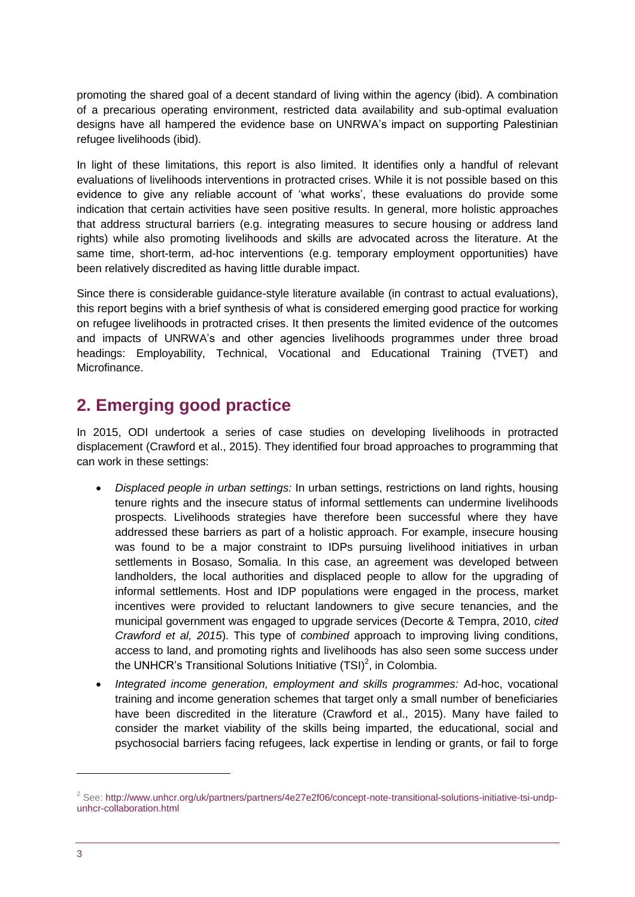promoting the shared goal of a decent standard of living within the agency (ibid). A combination of a precarious operating environment, restricted data availability and sub-optimal evaluation designs have all hampered the evidence base on UNRWA's impact on supporting Palestinian refugee livelihoods (ibid).

In light of these limitations, this report is also limited. It identifies only a handful of relevant evaluations of livelihoods interventions in protracted crises. While it is not possible based on this evidence to give any reliable account of 'what works', these evaluations do provide some indication that certain activities have seen positive results. In general, more holistic approaches that address structural barriers (e.g. integrating measures to secure housing or address land rights) while also promoting livelihoods and skills are advocated across the literature. At the same time, short-term, ad-hoc interventions (e.g. temporary employment opportunities) have been relatively discredited as having little durable impact.

Since there is considerable guidance-style literature available (in contrast to actual evaluations), this report begins with a brief synthesis of what is considered emerging good practice for working on refugee livelihoods in protracted crises. It then presents the limited evidence of the outcomes and impacts of UNRWA's and other agencies livelihoods programmes under three broad headings: Employability, Technical, Vocational and Educational Training (TVET) and Microfinance.

## <span id="page-2-0"></span>**2. Emerging good practice**

In 2015, ODI undertook a series of case studies on developing livelihoods in protracted displacement (Crawford et al., 2015). They identified four broad approaches to programming that can work in these settings:

- *Displaced people in urban settings:* In urban settings, restrictions on land rights, housing tenure rights and the insecure status of informal settlements can undermine livelihoods prospects. Livelihoods strategies have therefore been successful where they have addressed these barriers as part of a holistic approach. For example, insecure housing was found to be a major constraint to IDPs pursuing livelihood initiatives in urban settlements in Bosaso, Somalia. In this case, an agreement was developed between landholders, the local authorities and displaced people to allow for the upgrading of informal settlements. Host and IDP populations were engaged in the process, market incentives were provided to reluctant landowners to give secure tenancies, and the municipal government was engaged to upgrade services (Decorte & Tempra, 2010, *cited Crawford et al, 2015*). This type of *combined* approach to improving living conditions, access to land, and promoting rights and livelihoods has also seen some success under the UNHCR's Transitional Solutions Initiative (TSI)<sup>2</sup>, in Colombia.
- *Integrated income generation, employment and skills programmes:* Ad-hoc, vocational training and income generation schemes that target only a small number of beneficiaries have been discredited in the literature (Crawford et al., 2015). Many have failed to consider the market viability of the skills being imparted, the educational, social and psychosocial barriers facing refugees, lack expertise in lending or grants, or fail to forge

 $^2$  See: [http://www.unhcr.org/uk/partners/partners/4e27e2f06/concept-note-transitional-solutions-initiative-tsi-undp](http://www.unhcr.org/uk/partners/partners/4e27e2f06/concept-note-transitional-solutions-initiative-tsi-undp-unhcr-collaboration.html)[unhcr-collaboration.html](http://www.unhcr.org/uk/partners/partners/4e27e2f06/concept-note-transitional-solutions-initiative-tsi-undp-unhcr-collaboration.html)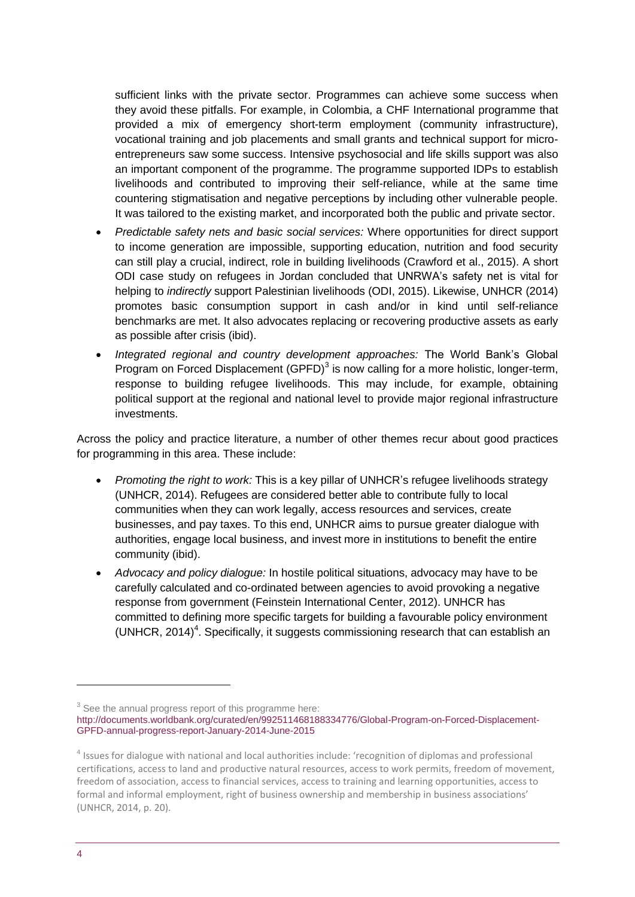sufficient links with the private sector. Programmes can achieve some success when they avoid these pitfalls. For example, in Colombia, a CHF International programme that provided a mix of emergency short-term employment (community infrastructure), vocational training and job placements and small grants and technical support for microentrepreneurs saw some success. Intensive psychosocial and life skills support was also an important component of the programme. The programme supported IDPs to establish livelihoods and contributed to improving their self-reliance, while at the same time countering stigmatisation and negative perceptions by including other vulnerable people. It was tailored to the existing market, and incorporated both the public and private sector.

- *Predictable safety nets and basic social services:* Where opportunities for direct support to income generation are impossible, supporting education, nutrition and food security can still play a crucial, indirect, role in building livelihoods (Crawford et al., 2015). A short ODI case study on refugees in Jordan concluded that UNRWA's safety net is vital for helping to *indirectly* support Palestinian livelihoods (ODI, 2015). Likewise, UNHCR (2014) promotes basic consumption support in cash and/or in kind until self-reliance benchmarks are met. It also advocates replacing or recovering productive assets as early as possible after crisis (ibid).
- *Integrated regional and country development approaches:* The World Bank's Global Program on Forced Displacement (GPFD) $<sup>3</sup>$  is now calling for a more holistic, longer-term,</sup> response to building refugee livelihoods. This may include, for example, obtaining political support at the regional and national level to provide major regional infrastructure investments.

Across the policy and practice literature, a number of other themes recur about good practices for programming in this area. These include:

- *Promoting the right to work:* This is a key pillar of UNHCR's refugee livelihoods strategy (UNHCR, 2014). Refugees are considered better able to contribute fully to local communities when they can work legally, access resources and services, create businesses, and pay taxes. To this end, UNHCR aims to pursue greater dialogue with authorities, engage local business, and invest more in institutions to benefit the entire community (ibid).
- *Advocacy and policy dialogue:* In hostile political situations, advocacy may have to be carefully calculated and co-ordinated between agencies to avoid provoking a negative response from government (Feinstein International Center, 2012). UNHCR has committed to defining more specific targets for building a favourable policy environment  $(UNHCR, 2014)<sup>4</sup>$ . Specifically, it suggests commissioning research that can establish an

 $3$  See the annual progress report of this programme here:

[http://documents.worldbank.org/curated/en/992511468188334776/Global-Program-on-Forced-Displacement-](http://documents.worldbank.org/curated/en/992511468188334776/Global-Program-on-Forced-Displacement-GPFD-annual-progress-report-January-2014-June-2015)[GPFD-annual-progress-report-January-2014-June-2015](http://documents.worldbank.org/curated/en/992511468188334776/Global-Program-on-Forced-Displacement-GPFD-annual-progress-report-January-2014-June-2015)

<sup>&</sup>lt;sup>4</sup> Issues for dialogue with national and local authorities include: 'recognition of diplomas and professional certifications, access to land and productive natural resources, access to work permits, freedom of movement, freedom of association, access to financial services, access to training and learning opportunities, access to formal and informal employment, right of business ownership and membership in business associations' (UNHCR, 2014, p. 20).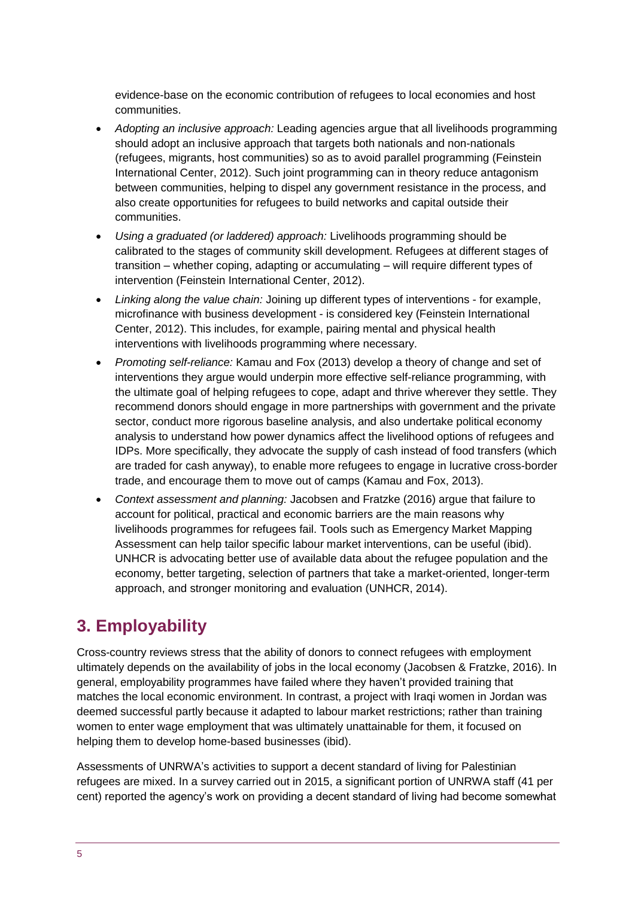evidence-base on the economic contribution of refugees to local economies and host communities.

- *Adopting an inclusive approach:* Leading agencies argue that all livelihoods programming should adopt an inclusive approach that targets both nationals and non-nationals (refugees, migrants, host communities) so as to avoid parallel programming (Feinstein International Center, 2012). Such joint programming can in theory reduce antagonism between communities, helping to dispel any government resistance in the process, and also create opportunities for refugees to build networks and capital outside their communities.
- *Using a graduated (or laddered) approach:* Livelihoods programming should be calibrated to the stages of community skill development. Refugees at different stages of transition – whether coping, adapting or accumulating – will require different types of intervention (Feinstein International Center, 2012).
- *Linking along the value chain:* Joining up different types of interventions for example, microfinance with business development - is considered key (Feinstein International Center, 2012). This includes, for example, pairing mental and physical health interventions with livelihoods programming where necessary.
- *Promoting self-reliance:* Kamau and Fox (2013) develop a theory of change and set of interventions they argue would underpin more effective self-reliance programming, with the ultimate goal of helping refugees to cope, adapt and thrive wherever they settle. They recommend donors should engage in more partnerships with government and the private sector, conduct more rigorous baseline analysis, and also undertake political economy analysis to understand how power dynamics affect the livelihood options of refugees and IDPs. More specifically, they advocate the supply of cash instead of food transfers (which are traded for cash anyway), to enable more refugees to engage in lucrative cross-border trade, and encourage them to move out of camps (Kamau and Fox, 2013).
- *Context assessment and planning:* Jacobsen and Fratzke (2016) argue that failure to account for political, practical and economic barriers are the main reasons why livelihoods programmes for refugees fail. Tools such as Emergency Market Mapping Assessment can help tailor specific labour market interventions, can be useful (ibid). UNHCR is advocating better use of available data about the refugee population and the economy, better targeting, selection of partners that take a market-oriented, longer-term approach, and stronger monitoring and evaluation (UNHCR, 2014).

## <span id="page-4-0"></span>**3. Employability**

Cross-country reviews stress that the ability of donors to connect refugees with employment ultimately depends on the availability of jobs in the local economy (Jacobsen & Fratzke, 2016). In general, employability programmes have failed where they haven't provided training that matches the local economic environment. In contrast, a project with Iraqi women in Jordan was deemed successful partly because it adapted to labour market restrictions; rather than training women to enter wage employment that was ultimately unattainable for them, it focused on helping them to develop home-based businesses (ibid).

Assessments of UNRWA's activities to support a decent standard of living for Palestinian refugees are mixed. In a survey carried out in 2015, a significant portion of UNRWA staff (41 per cent) reported the agency's work on providing a decent standard of living had become somewhat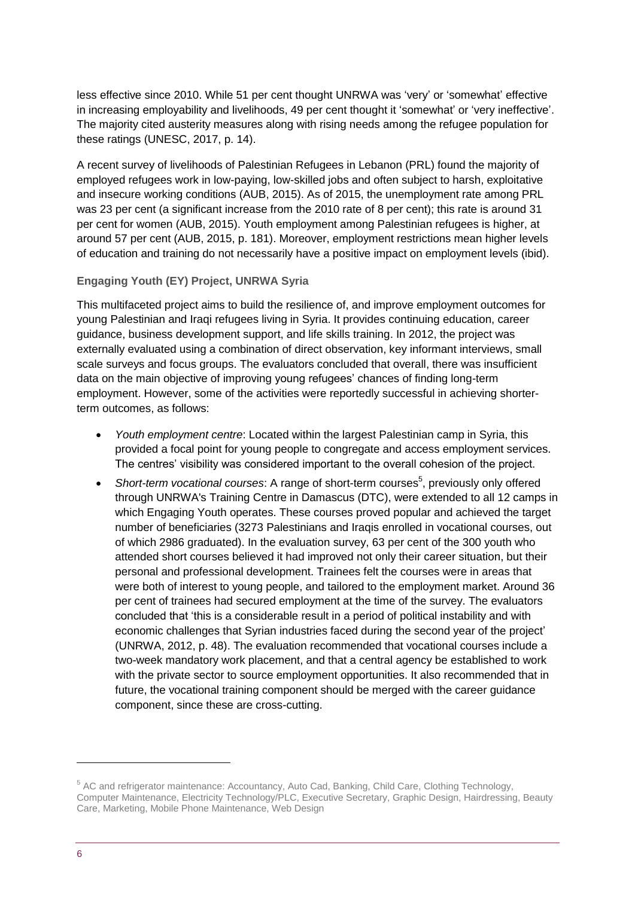less effective since 2010. While 51 per cent thought UNRWA was 'very' or 'somewhat' effective in increasing employability and livelihoods, 49 per cent thought it 'somewhat' or 'very ineffective'. The majority cited austerity measures along with rising needs among the refugee population for these ratings (UNESC, 2017, p. 14).

A recent survey of livelihoods of Palestinian Refugees in Lebanon (PRL) found the majority of employed refugees work in low-paying, low-skilled jobs and often subject to harsh, exploitative and insecure working conditions (AUB, 2015). As of 2015, the unemployment rate among PRL was 23 per cent (a significant increase from the 2010 rate of 8 per cent); this rate is around 31 per cent for women (AUB, 2015). Youth employment among Palestinian refugees is higher, at around 57 per cent (AUB, 2015, p. 181). Moreover, employment restrictions mean higher levels of education and training do not necessarily have a positive impact on employment levels (ibid).

#### **Engaging Youth (EY) Project, UNRWA Syria**

This multifaceted project aims to build the resilience of, and improve employment outcomes for young Palestinian and Iraqi refugees living in Syria. It provides continuing education, career guidance, business development support, and life skills training. In 2012, the project was externally evaluated using a combination of direct observation, key informant interviews, small scale surveys and focus groups. The evaluators concluded that overall, there was insufficient data on the main objective of improving young refugees' chances of finding long-term employment. However, some of the activities were reportedly successful in achieving shorterterm outcomes, as follows:

- *Youth employment centre*: Located within the largest Palestinian camp in Syria, this provided a focal point for young people to congregate and access employment services. The centres' visibility was considered important to the overall cohesion of the project.
- Short-term vocational courses: A range of short-term courses<sup>5</sup>, previously only offered through UNRWA's Training Centre in Damascus (DTC), were extended to all 12 camps in which Engaging Youth operates. These courses proved popular and achieved the target number of beneficiaries (3273 Palestinians and Iraqis enrolled in vocational courses, out of which 2986 graduated). In the evaluation survey, 63 per cent of the 300 youth who attended short courses believed it had improved not only their career situation, but their personal and professional development. Trainees felt the courses were in areas that were both of interest to young people, and tailored to the employment market. Around 36 per cent of trainees had secured employment at the time of the survey. The evaluators concluded that 'this is a considerable result in a period of political instability and with economic challenges that Syrian industries faced during the second year of the project' (UNRWA, 2012, p. 48). The evaluation recommended that vocational courses include a two-week mandatory work placement, and that a central agency be established to work with the private sector to source employment opportunities. It also recommended that in future, the vocational training component should be merged with the career guidance component, since these are cross-cutting.

-

<sup>&</sup>lt;sup>5</sup> AC and refrigerator maintenance: Accountancy, Auto Cad, Banking, Child Care, Clothing Technology, Computer Maintenance, Electricity Technology/PLC, Executive Secretary, Graphic Design, Hairdressing, Beauty Care, Marketing, Mobile Phone Maintenance, Web Design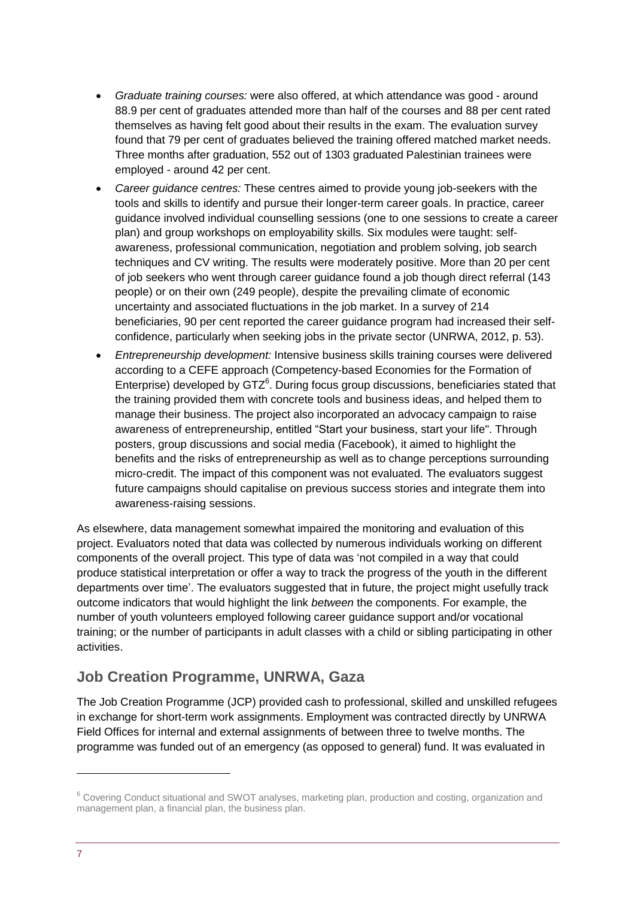- *Graduate training courses:* were also offered, at which attendance was good around 88.9 per cent of graduates attended more than half of the courses and 88 per cent rated themselves as having felt good about their results in the exam. The evaluation survey found that 79 per cent of graduates believed the training offered matched market needs. Three months after graduation, 552 out of 1303 graduated Palestinian trainees were employed - around 42 per cent.
- *Career guidance centres:* These centres aimed to provide young job-seekers with the tools and skills to identify and pursue their longer-term career goals. In practice, career guidance involved individual counselling sessions (one to one sessions to create a career plan) and group workshops on employability skills. Six modules were taught: selfawareness, professional communication, negotiation and problem solving, job search techniques and CV writing. The results were moderately positive. More than 20 per cent of job seekers who went through career guidance found a job though direct referral (143 people) or on their own (249 people), despite the prevailing climate of economic uncertainty and associated fluctuations in the job market. In a survey of 214 beneficiaries, 90 per cent reported the career guidance program had increased their selfconfidence, particularly when seeking jobs in the private sector (UNRWA, 2012, p. 53).
- *Entrepreneurship development:* Intensive business skills training courses were delivered according to a CEFE approach (Competency-based Economies for the Formation of Enterprise) developed by  $GTZ^6$ . During focus group discussions, beneficiaries stated that the training provided them with concrete tools and business ideas, and helped them to manage their business. The project also incorporated an advocacy campaign to raise awareness of entrepreneurship, entitled "Start your business, start your life". Through posters, group discussions and social media (Facebook), it aimed to highlight the benefits and the risks of entrepreneurship as well as to change perceptions surrounding micro-credit. The impact of this component was not evaluated. The evaluators suggest future campaigns should capitalise on previous success stories and integrate them into awareness-raising sessions.

As elsewhere, data management somewhat impaired the monitoring and evaluation of this project. Evaluators noted that data was collected by numerous individuals working on different components of the overall project. This type of data was 'not compiled in a way that could produce statistical interpretation or offer a way to track the progress of the youth in the different departments over time'. The evaluators suggested that in future, the project might usefully track outcome indicators that would highlight the link *between* the components. For example, the number of youth volunteers employed following career guidance support and/or vocational training; or the number of participants in adult classes with a child or sibling participating in other activities.

#### **Job Creation Programme, UNRWA, Gaza**

The Job Creation Programme (JCP) provided cash to professional, skilled and unskilled refugees in exchange for short-term work assignments. Employment was contracted directly by UNRWA Field Offices for internal and external assignments of between three to twelve months. The programme was funded out of an emergency (as opposed to general) fund. It was evaluated in

<sup>&</sup>lt;sup>6</sup> Covering Conduct situational and SWOT analyses, marketing plan, production and costing, organization and management plan, a financial plan, the business plan.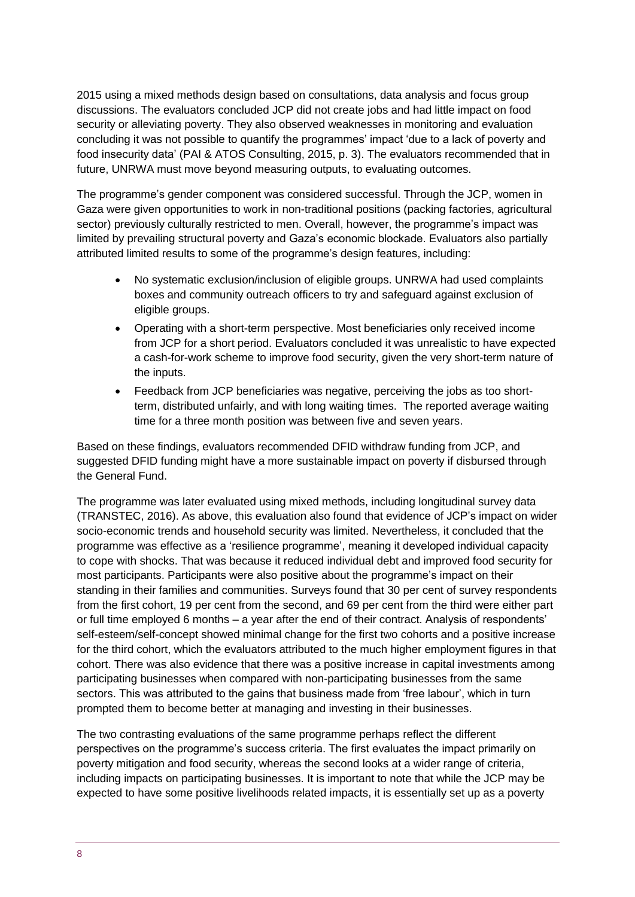2015 using a mixed methods design based on consultations, data analysis and focus group discussions. The evaluators concluded JCP did not create jobs and had little impact on food security or alleviating poverty. They also observed weaknesses in monitoring and evaluation concluding it was not possible to quantify the programmes' impact 'due to a lack of poverty and food insecurity data' (PAI & ATOS Consulting, 2015, p. 3). The evaluators recommended that in future, UNRWA must move beyond measuring outputs, to evaluating outcomes.

The programme's gender component was considered successful. Through the JCP, women in Gaza were given opportunities to work in non-traditional positions (packing factories, agricultural sector) previously culturally restricted to men. Overall, however, the programme's impact was limited by prevailing structural poverty and Gaza's economic blockade. Evaluators also partially attributed limited results to some of the programme's design features, including:

- No systematic exclusion/inclusion of eligible groups. UNRWA had used complaints boxes and community outreach officers to try and safeguard against exclusion of eligible groups.
- Operating with a short-term perspective. Most beneficiaries only received income from JCP for a short period. Evaluators concluded it was unrealistic to have expected a cash-for-work scheme to improve food security, given the very short-term nature of the inputs.
- Feedback from JCP beneficiaries was negative, perceiving the jobs as too shortterm, distributed unfairly, and with long waiting times. The reported average waiting time for a three month position was between five and seven years.

Based on these findings, evaluators recommended DFID withdraw funding from JCP, and suggested DFID funding might have a more sustainable impact on poverty if disbursed through the General Fund.

The programme was later evaluated using mixed methods, including longitudinal survey data (TRANSTEC, 2016). As above, this evaluation also found that evidence of JCP's impact on wider socio-economic trends and household security was limited. Nevertheless, it concluded that the programme was effective as a 'resilience programme', meaning it developed individual capacity to cope with shocks. That was because it reduced individual debt and improved food security for most participants. Participants were also positive about the programme's impact on their standing in their families and communities. Surveys found that 30 per cent of survey respondents from the first cohort, 19 per cent from the second, and 69 per cent from the third were either part or full time employed 6 months – a year after the end of their contract. Analysis of respondents' self-esteem/self-concept showed minimal change for the first two cohorts and a positive increase for the third cohort, which the evaluators attributed to the much higher employment figures in that cohort. There was also evidence that there was a positive increase in capital investments among participating businesses when compared with non-participating businesses from the same sectors. This was attributed to the gains that business made from 'free labour', which in turn prompted them to become better at managing and investing in their businesses.

The two contrasting evaluations of the same programme perhaps reflect the different perspectives on the programme's success criteria. The first evaluates the impact primarily on poverty mitigation and food security, whereas the second looks at a wider range of criteria, including impacts on participating businesses. It is important to note that while the JCP may be expected to have some positive livelihoods related impacts, it is essentially set up as a poverty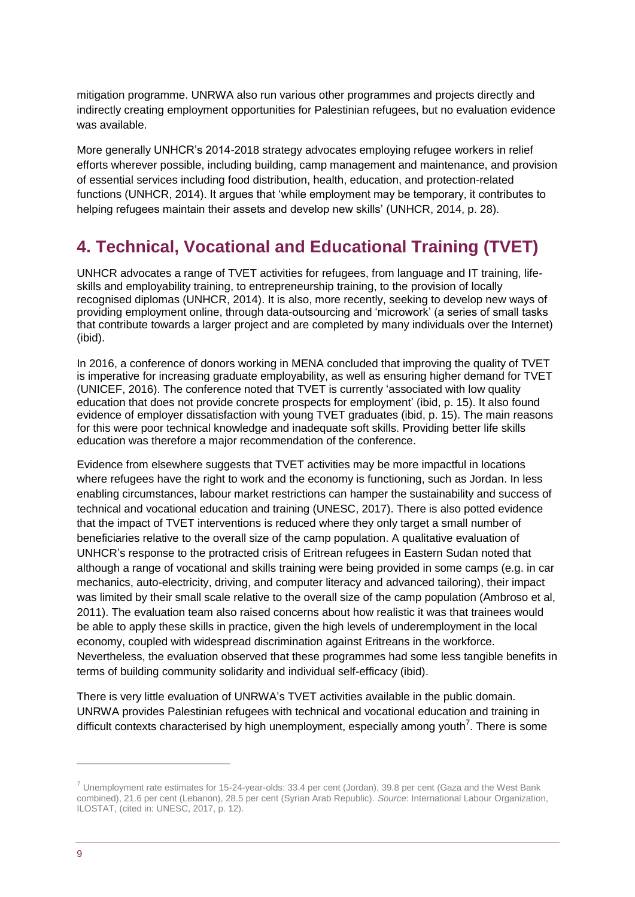mitigation programme. UNRWA also run various other programmes and projects directly and indirectly creating employment opportunities for Palestinian refugees, but no evaluation evidence was available.

More generally UNHCR's 2014-2018 strategy advocates employing refugee workers in relief efforts wherever possible, including building, camp management and maintenance, and provision of essential services including food distribution, health, education, and protection-related functions (UNHCR, 2014). It argues that 'while employment may be temporary, it contributes to helping refugees maintain their assets and develop new skills' (UNHCR, 2014, p. 28).

## <span id="page-8-0"></span>**4. Technical, Vocational and Educational Training (TVET)**

UNHCR advocates a range of TVET activities for refugees, from language and IT training, lifeskills and employability training, to entrepreneurship training, to the provision of locally recognised diplomas (UNHCR, 2014). It is also, more recently, seeking to develop new ways of providing employment online, through data-outsourcing and 'microwork' (a series of small tasks that contribute towards a larger project and are completed by many individuals over the Internet) (ibid).

In 2016, a conference of donors working in MENA concluded that improving the quality of TVET is imperative for increasing graduate employability, as well as ensuring higher demand for TVET (UNICEF, 2016). The conference noted that TVET is currently 'associated with low quality education that does not provide concrete prospects for employment' (ibid, p. 15). It also found evidence of employer dissatisfaction with young TVET graduates (ibid, p. 15). The main reasons for this were poor technical knowledge and inadequate soft skills. Providing better life skills education was therefore a major recommendation of the conference.

Evidence from elsewhere suggests that TVET activities may be more impactful in locations where refugees have the right to work and the economy is functioning, such as Jordan. In less enabling circumstances, labour market restrictions can hamper the sustainability and success of technical and vocational education and training (UNESC, 2017). There is also potted evidence that the impact of TVET interventions is reduced where they only target a small number of beneficiaries relative to the overall size of the camp population. A qualitative evaluation of UNHCR's response to the protracted crisis of Eritrean refugees in Eastern Sudan noted that although a range of vocational and skills training were being provided in some camps (e.g. in car mechanics, auto-electricity, driving, and computer literacy and advanced tailoring), their impact was limited by their small scale relative to the overall size of the camp population (Ambroso et al, 2011). The evaluation team also raised concerns about how realistic it was that trainees would be able to apply these skills in practice, given the high levels of underemployment in the local economy, coupled with widespread discrimination against Eritreans in the workforce. Nevertheless, the evaluation observed that these programmes had some less tangible benefits in terms of building community solidarity and individual self-efficacy (ibid).

There is very little evaluation of UNRWA's TVET activities available in the public domain. UNRWA provides Palestinian refugees with technical and vocational education and training in difficult contexts characterised by high unemployment, especially among youth<sup>7</sup>. There is some

 $^7$  Unemployment rate estimates for 15-24-year-olds: 33.4 per cent (Jordan), 39.8 per cent (Gaza and the West Bank combined), 21.6 per cent (Lebanon), 28.5 per cent (Syrian Arab Republic). *Source*: International Labour Organization, ILOSTAT, (cited in: UNESC, 2017, p. 12).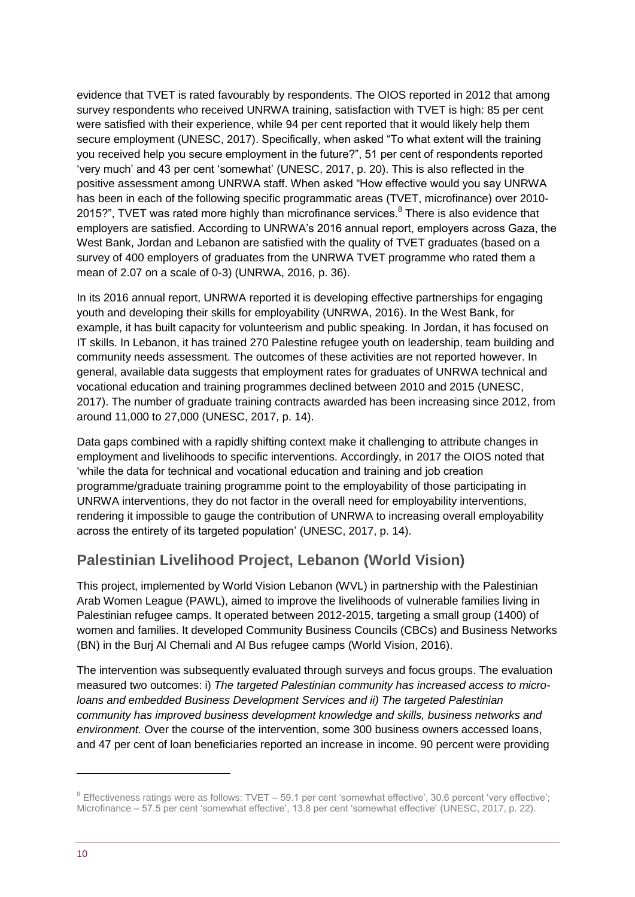evidence that TVET is rated favourably by respondents. The OIOS reported in 2012 that among survey respondents who received UNRWA training, satisfaction with TVET is high: 85 per cent were satisfied with their experience, while 94 per cent reported that it would likely help them secure employment (UNESC, 2017). Specifically, when asked "To what extent will the training you received help you secure employment in the future?", 51 per cent of respondents reported 'very much' and 43 per cent 'somewhat' (UNESC, 2017, p. 20). This is also reflected in the positive assessment among UNRWA staff. When asked "How effective would you say UNRWA has been in each of the following specific programmatic areas (TVET, microfinance) over 2010- 2015?", TVET was rated more highly than microfinance services.<sup>8</sup> There is also evidence that employers are satisfied. According to UNRWA's 2016 annual report, employers across Gaza, the West Bank, Jordan and Lebanon are satisfied with the quality of TVET graduates (based on a survey of 400 employers of graduates from the UNRWA TVET programme who rated them a mean of 2.07 on a scale of 0-3) (UNRWA, 2016, p. 36).

In its 2016 annual report, UNRWA reported it is developing effective partnerships for engaging youth and developing their skills for employability (UNRWA, 2016). In the West Bank, for example, it has built capacity for volunteerism and public speaking. In Jordan, it has focused on IT skills. In Lebanon, it has trained 270 Palestine refugee youth on leadership, team building and community needs assessment. The outcomes of these activities are not reported however. In general, available data suggests that employment rates for graduates of UNRWA technical and vocational education and training programmes declined between 2010 and 2015 (UNESC, 2017). The number of graduate training contracts awarded has been increasing since 2012, from around 11,000 to 27,000 (UNESC, 2017, p. 14).

Data gaps combined with a rapidly shifting context make it challenging to attribute changes in employment and livelihoods to specific interventions. Accordingly, in 2017 the OIOS noted that 'while the data for technical and vocational education and training and job creation programme/graduate training programme point to the employability of those participating in UNRWA interventions, they do not factor in the overall need for employability interventions, rendering it impossible to gauge the contribution of UNRWA to increasing overall employability across the entirety of its targeted population' (UNESC, 2017, p. 14).

#### **Palestinian Livelihood Project, Lebanon (World Vision)**

This project, implemented by World Vision Lebanon (WVL) in partnership with the Palestinian Arab Women League (PAWL), aimed to improve the livelihoods of vulnerable families living in Palestinian refugee camps. It operated between 2012-2015, targeting a small group (1400) of women and families. It developed Community Business Councils (CBCs) and Business Networks (BN) in the Burj Al Chemali and Al Bus refugee camps (World Vision, 2016).

The intervention was subsequently evaluated through surveys and focus groups. The evaluation measured two outcomes: i) *The targeted Palestinian community has increased access to microloans and embedded Business Development Services and ii) The targeted Palestinian community has improved business development knowledge and skills, business networks and environment.* Over the course of the intervention, some 300 business owners accessed loans, and 47 per cent of loan beneficiaries reported an increase in income. 90 percent were providing

<sup>&</sup>lt;sup>8</sup> Effectiveness ratings were as follows: TVET - 59.1 per cent 'somewhat effective', 30.6 percent 'very effective'; Microfinance – 57.5 per cent 'somewhat effective', 13.8 per cent 'somewhat effective' (UNESC, 2017, p. 22).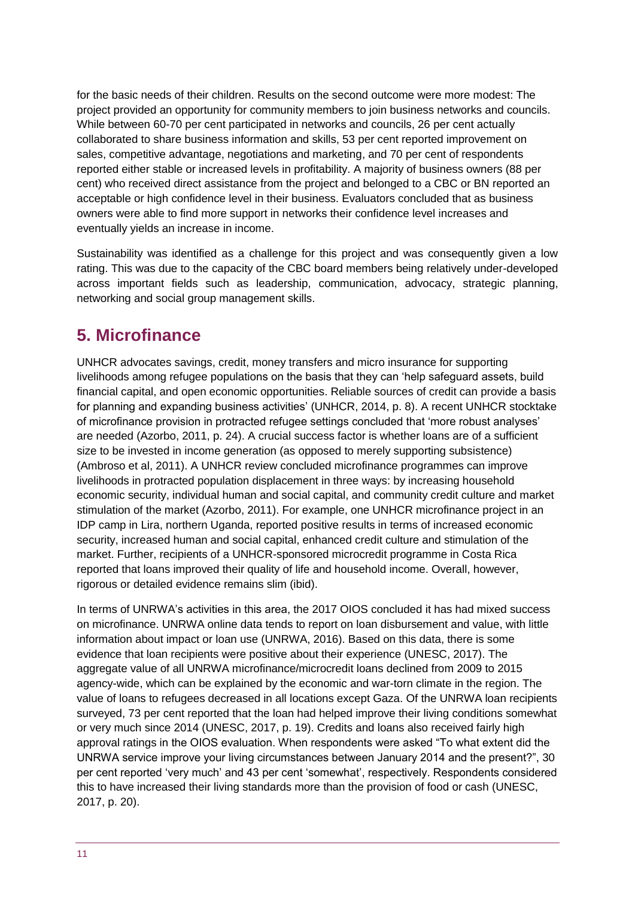for the basic needs of their children. Results on the second outcome were more modest: The project provided an opportunity for community members to join business networks and councils. While between 60-70 per cent participated in networks and councils, 26 per cent actually collaborated to share business information and skills, 53 per cent reported improvement on sales, competitive advantage, negotiations and marketing, and 70 per cent of respondents reported either stable or increased levels in profitability. A majority of business owners (88 per cent) who received direct assistance from the project and belonged to a CBC or BN reported an acceptable or high confidence level in their business. Evaluators concluded that as business owners were able to find more support in networks their confidence level increases and eventually yields an increase in income.

Sustainability was identified as a challenge for this project and was consequently given a low rating. This was due to the capacity of the CBC board members being relatively under-developed across important fields such as leadership, communication, advocacy, strategic planning, networking and social group management skills.

## <span id="page-10-0"></span>**5. Microfinance**

UNHCR advocates savings, credit, money transfers and micro insurance for supporting livelihoods among refugee populations on the basis that they can 'help safeguard assets, build financial capital, and open economic opportunities. Reliable sources of credit can provide a basis for planning and expanding business activities' (UNHCR, 2014, p. 8). A recent UNHCR stocktake of microfinance provision in protracted refugee settings concluded that 'more robust analyses' are needed (Azorbo, 2011, p. 24). A crucial success factor is whether loans are of a sufficient size to be invested in income generation (as opposed to merely supporting subsistence) (Ambroso et al, 2011). A UNHCR review concluded microfinance programmes can improve livelihoods in protracted population displacement in three ways: by increasing household economic security, individual human and social capital, and community credit culture and market stimulation of the market (Azorbo, 2011). For example, one UNHCR microfinance project in an IDP camp in Lira, northern Uganda, reported positive results in terms of increased economic security, increased human and social capital, enhanced credit culture and stimulation of the market. Further, recipients of a UNHCR-sponsored microcredit programme in Costa Rica reported that loans improved their quality of life and household income. Overall, however, rigorous or detailed evidence remains slim (ibid).

In terms of UNRWA's activities in this area, the 2017 OIOS concluded it has had mixed success on microfinance. UNRWA online data tends to report on loan disbursement and value, with little information about impact or loan use (UNRWA, 2016). Based on this data, there is some evidence that loan recipients were positive about their experience (UNESC, 2017). The aggregate value of all UNRWA microfinance/microcredit loans declined from 2009 to 2015 agency-wide, which can be explained by the economic and war-torn climate in the region. The value of loans to refugees decreased in all locations except Gaza. Of the UNRWA loan recipients surveyed, 73 per cent reported that the loan had helped improve their living conditions somewhat or very much since 2014 (UNESC, 2017, p. 19). Credits and loans also received fairly high approval ratings in the OIOS evaluation. When respondents were asked "To what extent did the UNRWA service improve your living circumstances between January 2014 and the present?", 30 per cent reported 'very much' and 43 per cent 'somewhat', respectively. Respondents considered this to have increased their living standards more than the provision of food or cash (UNESC, 2017, p. 20).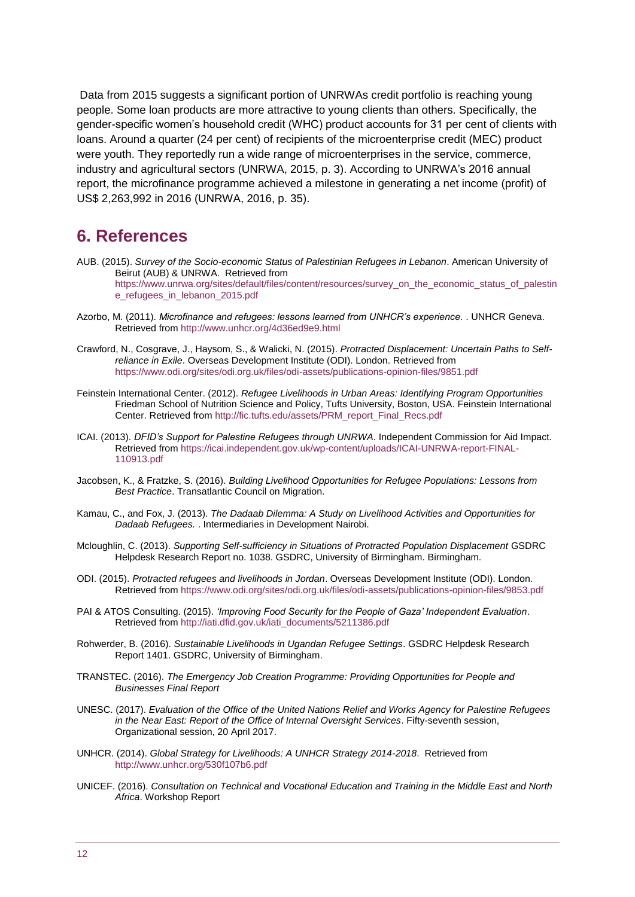Data from 2015 suggests a significant portion of UNRWAs credit portfolio is reaching young people. Some loan products are more attractive to young clients than others. Specifically, the gender-specific women's household credit (WHC) product accounts for 31 per cent of clients with loans. Around a quarter (24 per cent) of recipients of the microenterprise credit (MEC) product were youth. They reportedly run a wide range of microenterprises in the service, commerce, industry and agricultural sectors (UNRWA, 2015, p. 3). According to UNRWA's 2016 annual report, the microfinance programme achieved a milestone in generating a net income (profit) of US\$ 2,263,992 in 2016 (UNRWA, 2016, p. 35).

#### <span id="page-11-0"></span>**6. References**

- AUB. (2015). *Survey of the Socio-economic Status of Palestinian Refugees in Lebanon*. American University of Beirut (AUB) & UNRWA. Retrieved from [https://www.unrwa.org/sites/default/files/content/resources/survey\\_on\\_the\\_economic\\_status\\_of\\_palestin](https://www.unrwa.org/sites/default/files/content/resources/survey_on_the_economic_status_of_palestine_refugees_in_lebanon_2015.pdf) [e\\_refugees\\_in\\_lebanon\\_2015.pdf](https://www.unrwa.org/sites/default/files/content/resources/survey_on_the_economic_status_of_palestine_refugees_in_lebanon_2015.pdf)
- Azorbo, M. (2011). *Microfinance and refugees: lessons learned from UNHCR's experience.* . UNHCR Geneva. Retrieved fro[m http://www.unhcr.org/4d36ed9e9.html](http://www.unhcr.org/4d36ed9e9.html)
- Crawford, N., Cosgrave, J., Haysom, S., & Walicki, N. (2015). *Protracted Displacement: Uncertain Paths to Selfreliance in Exile*. Overseas Development Institute (ODI). London. Retrieved from <https://www.odi.org/sites/odi.org.uk/files/odi-assets/publications-opinion-files/9851.pdf>
- Feinstein International Center. (2012). *Refugee Livelihoods in Urban Areas: Identifying Program Opportunities*  Friedman School of Nutrition Science and Policy, Tufts University, Boston, USA. Feinstein International Center. Retrieved fro[m http://fic.tufts.edu/assets/PRM\\_report\\_Final\\_Recs.pdf](http://fic.tufts.edu/assets/PRM_report_Final_Recs.pdf)
- ICAI. (2013). *DFID's Support for Palestine Refugees through UNRWA*. Independent Commission for Aid Impact. Retrieved fro[m https://icai.independent.gov.uk/wp-content/uploads/ICAI-UNRWA-report-FINAL-](https://icai.independent.gov.uk/wp-content/uploads/ICAI-UNRWA-report-FINAL-110913.pdf)[110913.pdf](https://icai.independent.gov.uk/wp-content/uploads/ICAI-UNRWA-report-FINAL-110913.pdf)
- Jacobsen, K., & Fratzke, S. (2016). *Building Livelihood Opportunities for Refugee Populations: Lessons from Best Practice*. Transatlantic Council on Migration.
- Kamau, C., and Fox, J. (2013). *The Dadaab Dilemma: A Study on Livelihood Activities and Opportunities for Dadaab Refugees.* . Intermediaries in Development Nairobi.
- Mcloughlin, C. (2013). *Supporting Self-sufficiency in Situations of Protracted Population Displacement* GSDRC Helpdesk Research Report no. 1038. GSDRC, University of Birmingham. Birmingham.
- ODI. (2015). *Protracted refugees and livelihoods in Jordan*. Overseas Development Institute (ODI). London. Retrieved fro[m https://www.odi.org/sites/odi.org.uk/files/odi-assets/publications-opinion-files/9853.pdf](https://www.odi.org/sites/odi.org.uk/files/odi-assets/publications-opinion-files/9853.pdf)
- PAI & ATOS Consulting. (2015). *'Improving Food Security for the People of Gaza' Independent Evaluation*. Retrieved fro[m http://iati.dfid.gov.uk/iati\\_documents/5211386.pdf](http://iati.dfid.gov.uk/iati_documents/5211386.pdf)
- Rohwerder, B. (2016). *Sustainable Livelihoods in Ugandan Refugee Settings*. GSDRC Helpdesk Research Report 1401. GSDRC, University of Birmingham.
- TRANSTEC. (2016). *The Emergency Job Creation Programme: Providing Opportunities for People and Businesses Final Report*
- UNESC. (2017). *Evaluation of the Office of the United Nations Relief and Works Agency for Palestine Refugees in the Near East: Report of the Office of Internal Oversight Services*. Fifty-seventh session, Organizational session, 20 April 2017.
- UNHCR. (2014). *Global Strategy for Livelihoods: A UNHCR Strategy 2014-2018*. Retrieved from <http://www.unhcr.org/530f107b6.pdf>
- UNICEF. (2016). *Consultation on Technical and Vocational Education and Training in the Middle East and North Africa*. Workshop Report